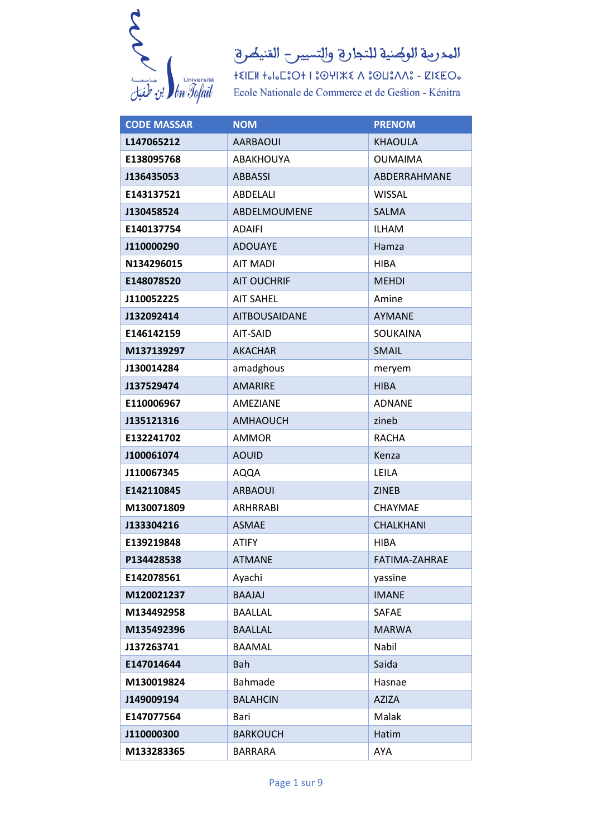

 $+\xi\|\Box\mathsf{M}\>+\mathsf{J}\mathsf{J}\Box\mathsf{E}\odot\mathsf{J}+\mathsf{I}\,\mathsf{I}\odot\mathsf{U}\|\mathsf{K}\mathsf{K}\wedge\mathsf{I}\odot\mathsf{U}\mathsf{I}\wedge\mathsf{M}\mathsf{I}\circ-\mathsf{Z}\|\mathsf{K}\mathsf{E}\,\mathsf{O}\mathsf{I}\circ$ Ecole Nationale de Commerce et de Gestion - Kénitra

| <b>CODE MASSAR</b> | <b>NOM</b>           | <b>PRENOM</b>    |
|--------------------|----------------------|------------------|
| L147065212         | <b>AARBAOUI</b>      | KHAOULA          |
| E138095768         | ABAKHOUYA            | <b>OUMAIMA</b>   |
| J136435053         | <b>ABBASSI</b>       | ABDERRAHMANE     |
| E143137521         | ABDELALI             | <b>WISSAL</b>    |
| J130458524         | ABDELMOUMENE         | <b>SALMA</b>     |
| E140137754         | ADAIFI               | <b>ILHAM</b>     |
| J110000290         | <b>ADOUAYE</b>       | Hamza            |
| N134296015         | <b>AIT MADI</b>      | <b>HIBA</b>      |
| E148078520         | <b>AIT OUCHRIF</b>   | <b>MEHDI</b>     |
| J110052225         | <b>AIT SAHEL</b>     | Amine            |
| J132092414         | <b>AITBOUSAIDANE</b> | <b>AYMANE</b>    |
| E146142159         | AIT-SAID             | SOUKAINA         |
| M137139297         | <b>AKACHAR</b>       | <b>SMAIL</b>     |
| J130014284         | amadghous            | meryem           |
| J137529474         | <b>AMARIRE</b>       | <b>HIBA</b>      |
| E110006967         | AMEZIANE             | <b>ADNANE</b>    |
| J135121316         | <b>AMHAOUCH</b>      | zineb            |
| E132241702         | <b>AMMOR</b>         | <b>RACHA</b>     |
| J100061074         | <b>AOUID</b>         | Kenza            |
| J110067345         | <b>AQQA</b>          | LEILA            |
| E142110845         | <b>ARBAOUI</b>       | <b>ZINEB</b>     |
| M130071809         | <b>ARHRRABI</b>      | <b>CHAYMAE</b>   |
| J133304216         | <b>ASMAE</b>         | <b>CHALKHANI</b> |
| E139219848         | <b>ATIFY</b>         | <b>HIBA</b>      |
| P134428538         | <b>ATMANE</b>        | FATIMA-ZAHRAE    |
| E142078561         | Ayachi               | yassine          |
| M120021237         | BAAJAJ               | <b>IMANE</b>     |
| M134492958         | <b>BAALLAL</b>       | <b>SAFAE</b>     |
| M135492396         | <b>BAALLAL</b>       | <b>MARWA</b>     |
| J137263741         | <b>BAAMAL</b>        | Nabil            |
| E147014644         | <b>Bah</b>           | Saida            |
| M130019824         | Bahmade              | Hasnae           |
| J149009194         | <b>BALAHCIN</b>      | <b>AZIZA</b>     |
| E147077564         | Bari                 | Malak            |
| J110000300         | <b>BARKOUCH</b>      | Hatim            |
| M133283365         | <b>BARRARA</b>       | <b>AYA</b>       |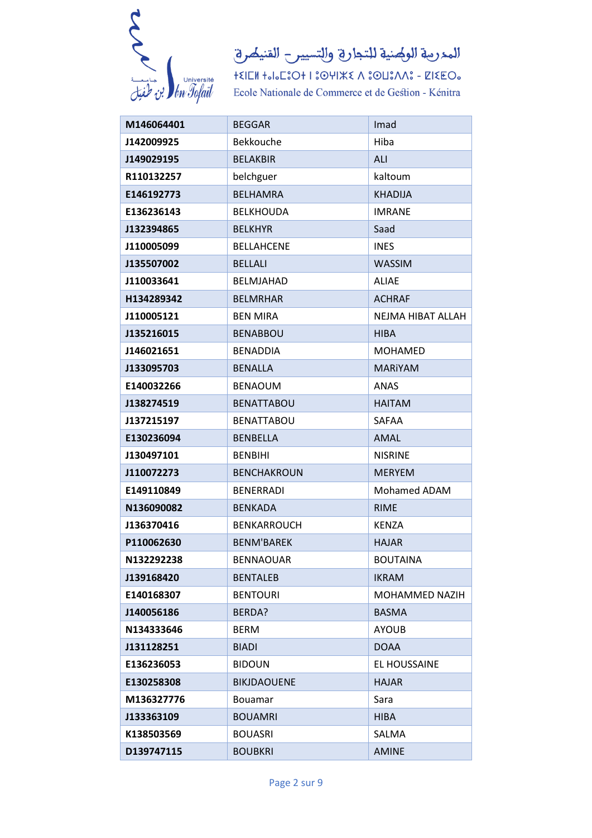

المدرمة الولهنية للتجارة والتسيير القنيصرة

 $+ \xi | \text{EM } +_0|_0 \text{L}^2 \text{O} + 1 \text{ } 3 \text{O} \text{H} \text{J} \text{K} \xi \text{ } \Lambda \text{ } 3 \text{O} \text{L} \text{3} \Lambda \Lambda \text{S} - \text{K} \text{K} \text{E} \text{O}_0$ Ecole Nationale de Commerce et de Gestion - Kénitra

| M146064401 | <b>BEGGAR</b>      | Imad                  |
|------------|--------------------|-----------------------|
| J142009925 | <b>Bekkouche</b>   | Hiba                  |
| J149029195 | <b>BELAKBIR</b>    | ALI                   |
| R110132257 | belchguer          | kaltoum               |
| E146192773 | <b>BELHAMRA</b>    | <b>KHADIJA</b>        |
| E136236143 | <b>BELKHOUDA</b>   | <b>IMRANE</b>         |
| J132394865 | <b>BELKHYR</b>     | Saad                  |
| J110005099 | <b>BELLAHCENE</b>  | <b>INES</b>           |
| J135507002 | <b>BELLALI</b>     | <b>WASSIM</b>         |
| J110033641 | <b>BELMJAHAD</b>   | <b>ALIAE</b>          |
| H134289342 | <b>BELMRHAR</b>    | <b>ACHRAF</b>         |
| J110005121 | <b>BEN MIRA</b>    | NEJMA HIBAT ALLAH     |
| J135216015 | <b>BENABBOU</b>    | <b>HIBA</b>           |
| J146021651 | <b>BENADDIA</b>    | <b>MOHAMED</b>        |
| J133095703 | <b>BENALLA</b>     | <b>MARIYAM</b>        |
| E140032266 | <b>BENAOUM</b>     | <b>ANAS</b>           |
| J138274519 | <b>BENATTABOU</b>  | <b>HAITAM</b>         |
| J137215197 | <b>BENATTABOU</b>  | <b>SAFAA</b>          |
| E130236094 | <b>BENBELLA</b>    | <b>AMAL</b>           |
| J130497101 | <b>BENBIHI</b>     | <b>NISRINE</b>        |
| J110072273 | <b>BENCHAKROUN</b> | <b>MERYEM</b>         |
| E149110849 | <b>BENERRADI</b>   | Mohamed ADAM          |
| N136090082 | <b>BENKADA</b>     | <b>RIME</b>           |
| J136370416 | <b>BENKARROUCH</b> | <b>KENZA</b>          |
| P110062630 | <b>BENM'BAREK</b>  | <b>HAJAR</b>          |
| N132292238 | <b>BENNAOUAR</b>   | <b>BOUTAINA</b>       |
| J139168420 | <b>BENTALEB</b>    | <b>IKRAM</b>          |
| E140168307 | <b>BENTOURI</b>    | <b>MOHAMMED NAZIH</b> |
| J140056186 | BERDA?             | <b>BASMA</b>          |
| N134333646 | <b>BERM</b>        | <b>AYOUB</b>          |
| J131128251 | <b>BIADI</b>       | <b>DOAA</b>           |
| E136236053 | <b>BIDOUN</b>      | EL HOUSSAINE          |
| E130258308 | BIKJDAOUENE        | <b>HAJAR</b>          |
| M136327776 | Bouamar            | Sara                  |
| J133363109 | <b>BOUAMRI</b>     | <b>HIBA</b>           |
| K138503569 | <b>BOUASRI</b>     | SALMA                 |
| D139747115 | <b>BOUBKRI</b>     | <b>AMINE</b>          |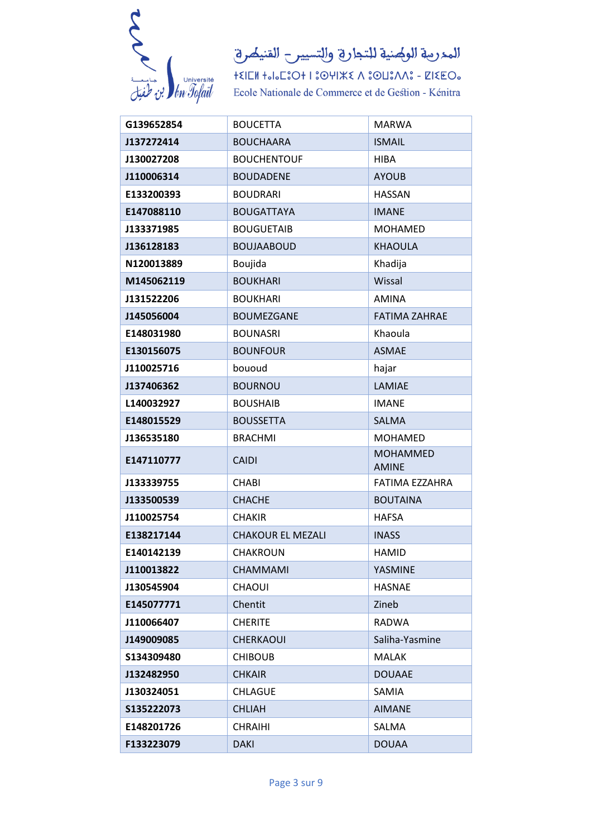

| G139652854  | <b>BOUCETTA</b>          | <b>MARWA</b>                    |
|-------------|--------------------------|---------------------------------|
| J137272414  | <b>BOUCHAARA</b>         | <b>ISMAIL</b>                   |
| J130027208  | <b>BOUCHENTOUF</b>       | <b>HIBA</b>                     |
| J110006314  | <b>BOUDADENE</b>         | <b>AYOUB</b>                    |
| E133200393  | <b>BOUDRARI</b>          | <b>HASSAN</b>                   |
| E147088110  | <b>BOUGATTAYA</b>        | <b>IMANE</b>                    |
| J133371985  | <b>BOUGUETAIB</b>        | <b>MOHAMED</b>                  |
| J136128183  | <b>BOUJAABOUD</b>        | <b>KHAOULA</b>                  |
| N120013889  | Boujida                  | Khadija                         |
| M145062119  | <b>BOUKHARI</b>          | Wissal                          |
| J131522206  | <b>BOUKHARI</b>          | <b>AMINA</b>                    |
| J145056004  | <b>BOUMEZGANE</b>        | <b>FATIMA ZAHRAE</b>            |
| E148031980  | <b>BOUNASRI</b>          | Khaoula                         |
| E130156075  | <b>BOUNFOUR</b>          | <b>ASMAE</b>                    |
| J110025716  | bououd                   | hajar                           |
| J137406362  | <b>BOURNOU</b>           | LAMIAE                          |
| L140032927  | <b>BOUSHAIB</b>          | <b>IMANE</b>                    |
| E148015529  | <b>BOUSSETTA</b>         | <b>SALMA</b>                    |
| J136535180  | <b>BRACHMI</b>           | <b>MOHAMED</b>                  |
| E147110777  | <b>CAIDI</b>             | <b>MOHAMMED</b><br><b>AMINE</b> |
| J133339755  | <b>CHABI</b>             | FATIMA EZZAHRA                  |
| J133500539  | <b>CHACHE</b>            | <b>BOUTAINA</b>                 |
| J110025754  | <b>CHAKIR</b>            | <b>HAFSA</b>                    |
| E138217144  | <b>CHAKOUR EL MEZALI</b> | <b>INASS</b>                    |
| E140142139  | <b>CHAKROUN</b>          | <b>HAMID</b>                    |
| J110013822  | <b>CHAMMAMI</b>          | YASMINE                         |
| J130545904  | <b>CHAOUI</b>            | <b>HASNAE</b>                   |
| E145077771  | Chentit                  | Zineb                           |
| J110066407  | <b>CHERITE</b>           | <b>RADWA</b>                    |
| J149009085  | <b>CHERKAOUI</b>         | Saliha-Yasmine                  |
| \$134309480 | <b>CHIBOUB</b>           | <b>MALAK</b>                    |
| J132482950  | <b>CHKAIR</b>            | <b>DOUAAE</b>                   |
| J130324051  | <b>CHLAGUE</b>           | SAMIA                           |
| S135222073  | <b>CHLIAH</b>            | <b>AIMANE</b>                   |
| E148201726  | <b>CHRAIHI</b>           | SALMA                           |
| F133223079  | <b>DAKI</b>              | <b>DOUAA</b>                    |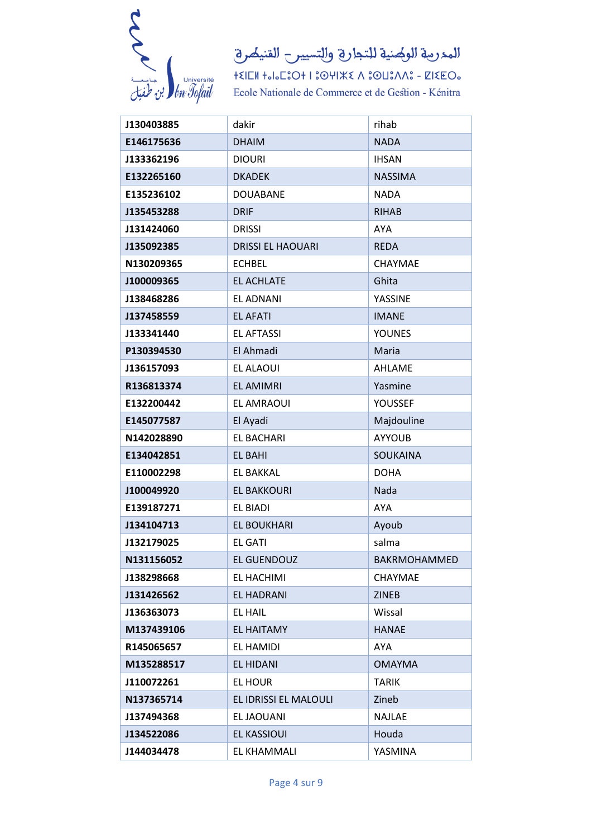

| J130403885 | dakir                    | rihab               |
|------------|--------------------------|---------------------|
| E146175636 | <b>DHAIM</b>             | <b>NADA</b>         |
| J133362196 | <b>DIOURI</b>            | <b>IHSAN</b>        |
| E132265160 | <b>DKADEK</b>            | <b>NASSIMA</b>      |
| E135236102 | <b>DOUABANE</b>          | <b>NADA</b>         |
| J135453288 | <b>DRIF</b>              | <b>RIHAB</b>        |
| J131424060 | <b>DRISSI</b>            | <b>AYA</b>          |
| J135092385 | <b>DRISSI EL HAOUARI</b> | <b>REDA</b>         |
| N130209365 | <b>ECHBEL</b>            | <b>CHAYMAE</b>      |
| J100009365 | <b>EL ACHLATE</b>        | Ghita               |
| J138468286 | EL ADNANI                | YASSINE             |
| J137458559 | <b>EL AFATI</b>          | <b>IMANE</b>        |
| J133341440 | <b>EL AFTASSI</b>        | <b>YOUNES</b>       |
| P130394530 | El Ahmadi                | Maria               |
| J136157093 | EL ALAOUI                | <b>AHLAME</b>       |
| R136813374 | <b>EL AMIMRI</b>         | Yasmine             |
| E132200442 | <b>EL AMRAOUI</b>        | <b>YOUSSEF</b>      |
| E145077587 | El Ayadi                 | Majdouline          |
| N142028890 | <b>EL BACHARI</b>        | <b>AYYOUB</b>       |
| E134042851 | EL BAHI                  | <b>SOUKAINA</b>     |
| E110002298 | EL BAKKAL                | <b>DOHA</b>         |
| J100049920 | <b>EL BAKKOURI</b>       | Nada                |
| E139187271 | <b>EL BIADI</b>          | <b>AYA</b>          |
| J134104713 | <b>EL BOUKHARI</b>       | Ayoub               |
| J132179025 | <b>EL GATI</b>           | salma               |
| N131156052 | EL GUENDOUZ              | <b>BAKRMOHAMMED</b> |
| J138298668 | EL HACHIMI               | <b>CHAYMAE</b>      |
| J131426562 | EL HADRANI               | <b>ZINEB</b>        |
| J136363073 | <b>EL HAIL</b>           | Wissal              |
| M137439106 | <b>EL HAITAMY</b>        | <b>HANAE</b>        |
| R145065657 | EL HAMIDI                | AYA                 |
| M135288517 | EL HIDANI                | <b>OMAYMA</b>       |
| J110072261 | EL HOUR                  | <b>TARIK</b>        |
| N137365714 | EL IDRISSI EL MALOULI    | Zineb               |
| J137494368 | EL JAOUANI               | <b>NAJLAE</b>       |
| J134522086 | <b>EL KASSIOUI</b>       | Houda               |
| J144034478 | EL KHAMMALI              | YASMINA             |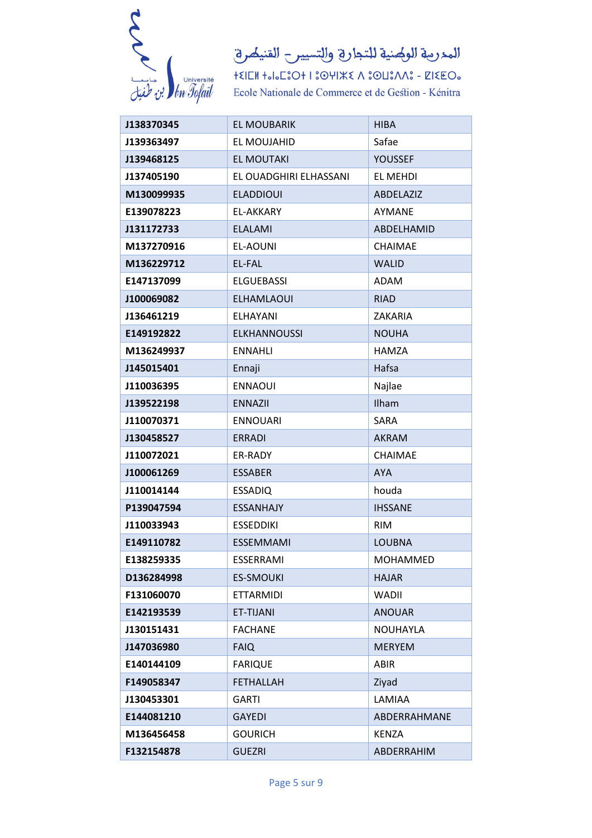

المدرمة الولهنية للتجارة والتسيير القنيصرة

| J138370345 | <b>EL MOUBARIK</b>     | <b>HIBA</b>      |
|------------|------------------------|------------------|
| J139363497 | EL MOUJAHID            | Safae            |
| J139468125 | <b>EL MOUTAKI</b>      | <b>YOUSSEF</b>   |
| J137405190 | EL OUADGHIRI ELHASSANI | EL MEHDI         |
| M130099935 | <b>ELADDIOUI</b>       | <b>ABDELAZIZ</b> |
| E139078223 | EL-AKKARY              | AYMANE           |
| J131172733 | <b>ELALAMI</b>         | ABDELHAMID       |
| M137270916 | EL-AOUNI               | <b>CHAIMAE</b>   |
| M136229712 | <b>EL-FAL</b>          | <b>WALID</b>     |
| E147137099 | <b>ELGUEBASSI</b>      | ADAM             |
| J100069082 | <b>ELHAMLAOUI</b>      | <b>RIAD</b>      |
| J136461219 | <b>ELHAYANI</b>        | ZAKARIA          |
| E149192822 | <b>ELKHANNOUSSI</b>    | <b>NOUHA</b>     |
| M136249937 | <b>ENNAHLI</b>         | <b>HAMZA</b>     |
| J145015401 | Ennaji                 | Hafsa            |
| J110036395 | <b>ENNAOUI</b>         | Najlae           |
| J139522198 | <b>ENNAZII</b>         | Ilham            |
| J110070371 | <b>ENNOUARI</b>        | <b>SARA</b>      |
| J130458527 | <b>ERRADI</b>          | <b>AKRAM</b>     |
| J110072021 | ER-RADY                | CHAIMAE          |
| J100061269 | <b>ESSABER</b>         | <b>AYA</b>       |
| J110014144 | <b>ESSADIQ</b>         | houda            |
| P139047594 | <b>ESSANHAJY</b>       | <b>IHSSANE</b>   |
| J110033943 | <b>ESSEDDIKI</b>       | <b>RIM</b>       |
| E149110782 | <b>ESSEMMAMI</b>       | <b>LOUBNA</b>    |
| E138259335 | ESSERRAMI              | MOHAMMED         |
| D136284998 | <b>ES-SMOUKI</b>       | <b>HAJAR</b>     |
| F131060070 | ETTARMIDI              | WADII            |
| E142193539 | ET-TIJANI              | <b>ANOUAR</b>    |
| J130151431 | <b>FACHANE</b>         | <b>NOUHAYLA</b>  |
| J147036980 | <b>FAIQ</b>            | <b>MERYEM</b>    |
| E140144109 | <b>FARIQUE</b>         | <b>ABIR</b>      |
| F149058347 | <b>FETHALLAH</b>       | Ziyad            |
| J130453301 | <b>GARTI</b>           | LAMIAA           |
| E144081210 | GAYEDI                 | ABDERRAHMANE     |
| M136456458 | <b>GOURICH</b>         | <b>KENZA</b>     |
| F132154878 | <b>GUEZRI</b>          | ABDERRAHIM       |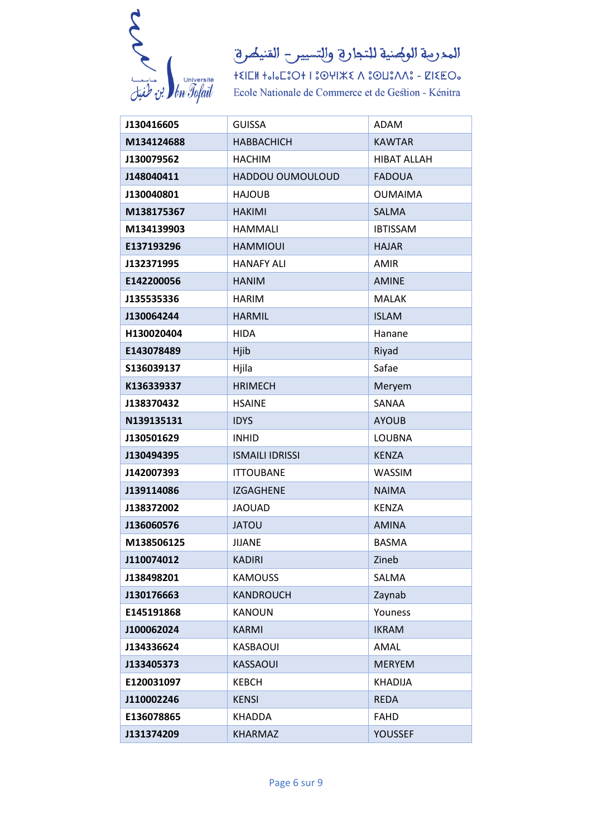

| J130416605 | <b>GUISSA</b>          | <b>ADAM</b>        |
|------------|------------------------|--------------------|
| M134124688 | <b>HABBACHICH</b>      | <b>KAWTAR</b>      |
| J130079562 | <b>HACHIM</b>          | <b>HIBAT ALLAH</b> |
| J148040411 | HADDOU OUMOULOUD       | <b>FADOUA</b>      |
| J130040801 | <b>HAJOUB</b>          | <b>OUMAIMA</b>     |
| M138175367 | <b>HAKIMI</b>          | <b>SALMA</b>       |
| M134139903 | <b>HAMMALI</b>         | <b>IBTISSAM</b>    |
| E137193296 | <b>HAMMIOUI</b>        | <b>HAJAR</b>       |
| J132371995 | <b>HANAFY ALI</b>      | <b>AMIR</b>        |
| E142200056 | <b>HANIM</b>           | <b>AMINE</b>       |
| J135535336 | <b>HARIM</b>           | <b>MALAK</b>       |
| J130064244 | <b>HARMIL</b>          | <b>ISLAM</b>       |
| H130020404 | <b>HIDA</b>            | Hanane             |
| E143078489 | Hjib                   | Riyad              |
| S136039137 | Hjila                  | Safae              |
| K136339337 | <b>HRIMECH</b>         | Meryem             |
| J138370432 | <b>HSAINE</b>          | SANAA              |
| N139135131 | <b>IDYS</b>            | <b>AYOUB</b>       |
| J130501629 | <b>INHID</b>           | <b>LOUBNA</b>      |
| J130494395 | <b>ISMAILI IDRISSI</b> | <b>KENZA</b>       |
| J142007393 | <b>ITTOUBANE</b>       | <b>WASSIM</b>      |
| J139114086 | <b>IZGAGHENE</b>       | <b>NAIMA</b>       |
| J138372002 | <b>JAOUAD</b>          | <b>KENZA</b>       |
| J136060576 | <b>JATOU</b>           | <b>AMINA</b>       |
| M138506125 | <b>JIJANE</b>          | <b>BASMA</b>       |
| J110074012 | <b>KADIRI</b>          | Zineb              |
| J138498201 | <b>KAMOUSS</b>         | SALMA              |
| J130176663 | <b>KANDROUCH</b>       | Zaynab             |
| E145191868 | <b>KANOUN</b>          | Youness            |
| J100062024 | <b>KARMI</b>           | <b>IKRAM</b>       |
| J134336624 | KASBAOUI               | AMAL               |
| J133405373 | <b>KASSAOUI</b>        | <b>MERYEM</b>      |
| E120031097 | <b>KEBCH</b>           | <b>KHADIJA</b>     |
| J110002246 | <b>KENSI</b>           | <b>REDA</b>        |
| E136078865 | KHADDA                 | FAHD               |
| J131374209 | <b>KHARMAZ</b>         | <b>YOUSSEF</b>     |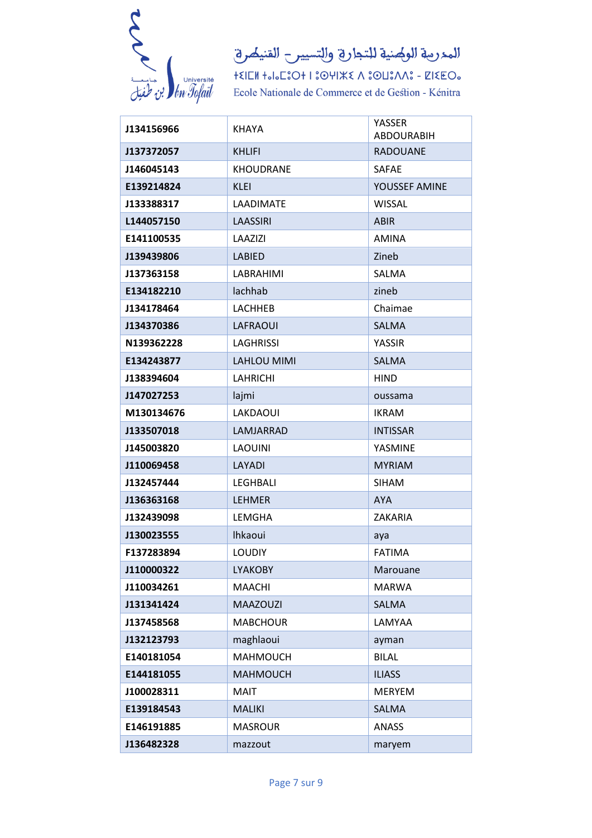

 $+\xi\|\Box\mathsf{M}\>+\mathsf{J}\mathsf{J}\Box\mathsf{E}\odot\mathsf{J}+\mathsf{I}\,\mathsf{I}\odot\mathsf{U}\|\mathsf{K}\mathsf{K}\wedge\mathsf{I}\odot\mathsf{U}\mathsf{I}\wedge\mathsf{M}\mathsf{I}\circ-\mathsf{Z}\|\mathsf{K}\mathsf{E}\,\mathsf{O}\mathsf{I}\circ$ Ecole Nationale de Commerce et de Gestion - Kénitra

| J134156966 | KHAYA              | YASSER<br><b>ABDOURABIH</b> |
|------------|--------------------|-----------------------------|
| J137372057 | <b>KHLIFI</b>      | <b>RADOUANE</b>             |
| J146045143 | <b>KHOUDRANE</b>   | <b>SAFAE</b>                |
| E139214824 | <b>KLEI</b>        | YOUSSEF AMINE               |
| J133388317 | LAADIMATE          | <b>WISSAL</b>               |
| L144057150 | LAASSIRI           | <b>ABIR</b>                 |
| E141100535 | LAAZIZI            | <b>AMINA</b>                |
| J139439806 | <b>LABIED</b>      | Zineb                       |
| J137363158 | LABRAHIMI          | SALMA                       |
| E134182210 | lachhab            | zineb                       |
| J134178464 | <b>LACHHEB</b>     | Chaimae                     |
| J134370386 | <b>LAFRAOUI</b>    | <b>SALMA</b>                |
| N139362228 | <b>LAGHRISSI</b>   | YASSIR                      |
| E134243877 | <b>LAHLOU MIMI</b> | <b>SALMA</b>                |
| J138394604 | <b>LAHRICHI</b>    | <b>HIND</b>                 |
| J147027253 | lajmi              | oussama                     |
| M130134676 | LAKDAOUI           | <b>IKRAM</b>                |
| J133507018 | LAMJARRAD          | <b>INTISSAR</b>             |
| J145003820 | <b>LAOUINI</b>     | YASMINE                     |
| J110069458 | LAYADI             | <b>MYRIAM</b>               |
| J132457444 | <b>LEGHBALI</b>    | <b>SIHAM</b>                |
| J136363168 | <b>LEHMER</b>      | <b>AYA</b>                  |
| J132439098 | LEMGHA             | <b>ZAKARIA</b>              |
| J130023555 | <b>Ihkaoui</b>     | aya                         |
| F137283894 | <b>LOUDIY</b>      | <b>FATIMA</b>               |
| J110000322 | <b>LYAKOBY</b>     | Marouane                    |
| J110034261 | <b>MAACHI</b>      | <b>MARWA</b>                |
| J131341424 | <b>MAAZOUZI</b>    | <b>SALMA</b>                |
| J137458568 | <b>MABCHOUR</b>    | LAMYAA                      |
| J132123793 | maghlaoui          | ayman                       |
| E140181054 | <b>MAHMOUCH</b>    | <b>BILAL</b>                |
| E144181055 | <b>MAHMOUCH</b>    | <b>ILIASS</b>               |
| J100028311 | <b>MAIT</b>        | <b>MERYEM</b>               |
| E139184543 | <b>MALIKI</b>      | <b>SALMA</b>                |
| E146191885 | <b>MASROUR</b>     | <b>ANASS</b>                |
| J136482328 | mazzout            | maryem                      |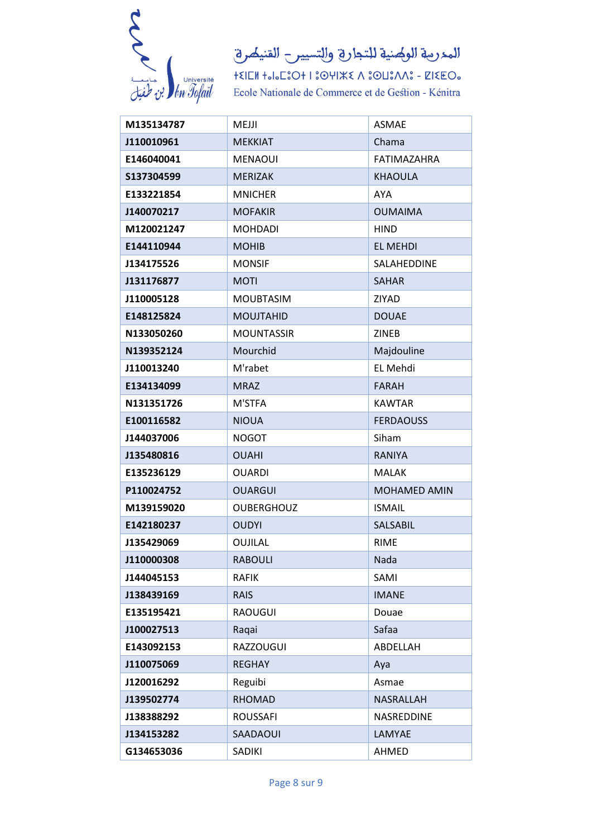

| M135134787 | MEJJI             | <b>ASMAE</b>        |
|------------|-------------------|---------------------|
| J110010961 | <b>MEKKIAT</b>    | Chama               |
| E146040041 | <b>MENAOUI</b>    | <b>FATIMAZAHRA</b>  |
| S137304599 | <b>MERIZAK</b>    | <b>KHAOULA</b>      |
| E133221854 | <b>MNICHER</b>    | <b>AYA</b>          |
| J140070217 | <b>MOFAKIR</b>    | <b>OUMAIMA</b>      |
| M120021247 | <b>MOHDADI</b>    | <b>HIND</b>         |
| E144110944 | <b>MOHIB</b>      | <b>EL MEHDI</b>     |
| J134175526 | <b>MONSIF</b>     | SALAHEDDINE         |
| J131176877 | <b>MOTI</b>       | <b>SAHAR</b>        |
| J110005128 | <b>MOUBTASIM</b>  | ZIYAD               |
| E148125824 | <b>MOUJTAHID</b>  | <b>DOUAE</b>        |
| N133050260 | <b>MOUNTASSIR</b> | <b>ZINEB</b>        |
| N139352124 | Mourchid          | Majdouline          |
| J110013240 | M'rabet           | EL Mehdi            |
| E134134099 | <b>MRAZ</b>       | <b>FARAH</b>        |
| N131351726 | M'STFA            | <b>KAWTAR</b>       |
| E100116582 | <b>NIOUA</b>      | <b>FERDAOUSS</b>    |
| J144037006 | <b>NOGOT</b>      | Siham               |
| J135480816 | <b>OUAHI</b>      | <b>RANIYA</b>       |
| E135236129 | <b>OUARDI</b>     | <b>MALAK</b>        |
| P110024752 | <b>OUARGUI</b>    | <b>MOHAMED AMIN</b> |
| M139159020 | <b>OUBERGHOUZ</b> | <b>ISMAIL</b>       |
| E142180237 | <b>OUDYI</b>      | SALSABIL            |
| J135429069 | OUJILAL           | <b>RIME</b>         |
| J110000308 | <b>RABOULI</b>    | Nada                |
| J144045153 | <b>RAFIK</b>      | SAMI                |
| J138439169 | <b>RAIS</b>       | <b>IMANE</b>        |
| E135195421 | <b>RAOUGUI</b>    | Douae               |
| J100027513 | Raqai             | Safaa               |
| E143092153 | <b>RAZZOUGUI</b>  | ABDELLAH            |
| J110075069 | <b>REGHAY</b>     | Aya                 |
| J120016292 | Reguibi           | Asmae               |
| J139502774 | <b>RHOMAD</b>     | NASRALLAH           |
| J138388292 | <b>ROUSSAFI</b>   | NASREDDINE          |
| J134153282 | SAADAOUI          | LAMYAE              |
| G134653036 | SADIKI            | AHMED               |